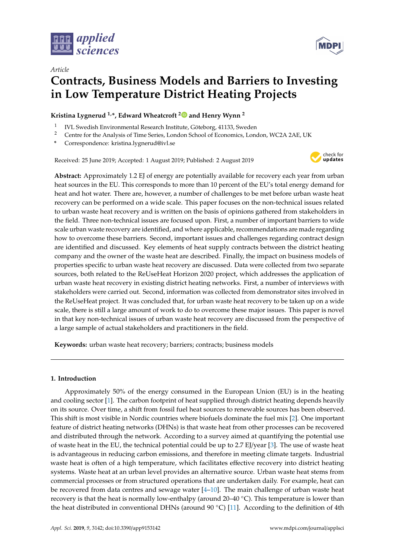

*Article*



# **Contracts, Business Models and Barriers to Investing in Low Temperature District Heating Projects**

**Kristina Lygnerud 1,\*, Edward Wheatcroft [2](https://orcid.org/0000-0002-7301-0889) and Henry Wynn <sup>2</sup>**

- 1 IVL Swedish Environmental Research Institute, Göteborg, 41133, Sweden
- <sup>2</sup> Centre for the Analysis of Time Series, London School of Economics, London, WC2A 2AE, UK
- **\*** Correspondence: kristina.lygnerud@ivl.se

Received: 25 June 2019; Accepted: 1 August 2019; Published: 2 August 2019



**Abstract:** Approximately 1.2 EJ of energy are potentially available for recovery each year from urban heat sources in the EU. This corresponds to more than 10 percent of the EU's total energy demand for heat and hot water. There are, however, a number of challenges to be met before urban waste heat recovery can be performed on a wide scale. This paper focuses on the non-technical issues related to urban waste heat recovery and is written on the basis of opinions gathered from stakeholders in the field. Three non-technical issues are focused upon. First, a number of important barriers to wide scale urban waste recovery are identified, and where applicable, recommendations are made regarding how to overcome these barriers. Second, important issues and challenges regarding contract design are identified and discussed. Key elements of heat supply contracts between the district heating company and the owner of the waste heat are described. Finally, the impact on business models of properties specific to urban waste heat recovery are discussed. Data were collected from two separate sources, both related to the ReUseHeat Horizon 2020 project, which addresses the application of urban waste heat recovery in existing district heating networks. First, a number of interviews with stakeholders were carried out. Second, information was collected from demonstrator sites involved in the ReUseHeat project. It was concluded that, for urban waste heat recovery to be taken up on a wide scale, there is still a large amount of work to do to overcome these major issues. This paper is novel in that key non-technical issues of urban waste heat recovery are discussed from the perspective of a large sample of actual stakeholders and practitioners in the field.

**Keywords:** urban waste heat recovery; barriers; contracts; business models

# **1. Introduction**

Approximately 50% of the energy consumed in the European Union (EU) is in the heating and cooling sector [\[1\]](#page-8-0). The carbon footprint of heat supplied through district heating depends heavily on its source. Over time, a shift from fossil fuel heat sources to renewable sources has been observed. This shift is most visible in Nordic countries where biofuels dominate the fuel mix [\[2\]](#page-8-1). One important feature of district heating networks (DHNs) is that waste heat from other processes can be recovered and distributed through the network. According to a survey aimed at quantifying the potential use of waste heat in the EU, the technical potential could be up to 2.7 EJ/year [\[3\]](#page-9-0). The use of waste heat is advantageous in reducing carbon emissions, and therefore in meeting climate targets. Industrial waste heat is often of a high temperature, which facilitates effective recovery into district heating systems. Waste heat at an urban level provides an alternative source. Urban waste heat stems from commercial processes or from structured operations that are undertaken daily. For example, heat can be recovered from data centres and sewage water  $[4-10]$  $[4-10]$ . The main challenge of urban waste heat recovery is that the heat is normally low-enthalpy (around 20–40 ◦C). This temperature is lower than the heat distributed in conventional DHNs (around  $90\textdegree C$ ) [\[11\]](#page-9-3). According to the definition of 4th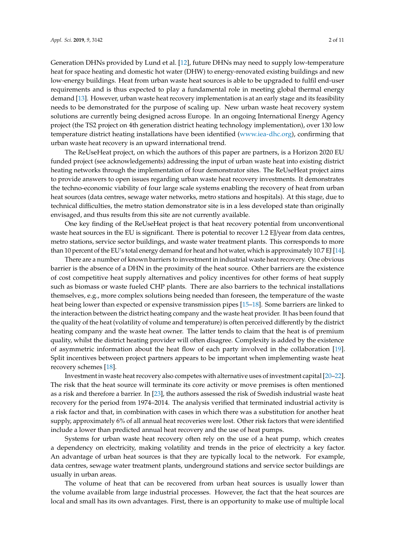Generation DHNs provided by Lund et al. [\[12\]](#page-9-4), future DHNs may need to supply low-temperature heat for space heating and domestic hot water (DHW) to energy-renovated existing buildings and new low-energy buildings. Heat from urban waste heat sources is able to be upgraded to fulfil end-user requirements and is thus expected to play a fundamental role in meeting global thermal energy demand [\[13\]](#page-9-5). However, urban waste heat recovery implementation is at an early stage and its feasibility needs to be demonstrated for the purpose of scaling up. New urban waste heat recovery system solutions are currently being designed across Europe. In an ongoing International Energy Agency project (the TS2 project on 4th generation district heating technology implementation), over 130 low temperature district heating installations have been identified [\(www.iea-dhc.org\)](www.iea-dhc.org), confirming that urban waste heat recovery is an upward international trend.

The ReUseHeat project, on which the authors of this paper are partners, is a Horizon 2020 EU funded project (see acknowledgements) addressing the input of urban waste heat into existing district heating networks through the implementation of four demonstrator sites. The ReUseHeat project aims to provide answers to open issues regarding urban waste heat recovery investments. It demonstrates the techno-economic viability of four large scale systems enabling the recovery of heat from urban heat sources (data centres, sewage water networks, metro stations and hospitals). At this stage, due to technical difficulties, the metro station demonstrator site is in a less developed state than originally envisaged, and thus results from this site are not currently available.

One key finding of the ReUseHeat project is that heat recovery potential from unconventional waste heat sources in the EU is significant. There is potential to recover 1.2 EJ/year from data centres, metro stations, service sector buildings, and waste water treatment plants. This corresponds to more than 10 percent of the EU's total energy demand for heat and hot water, which is approximately 10.7 EJ [\[14\]](#page-9-6).

There are a number of known barriers to investment in industrial waste heat recovery. One obvious barrier is the absence of a DHN in the proximity of the heat source. Other barriers are the existence of cost competitive heat supply alternatives and policy incentives for other forms of heat supply such as biomass or waste fueled CHP plants. There are also barriers to the technical installations themselves, e.g., more complex solutions being needed than foreseen, the temperature of the waste heat being lower than expected or expensive transmission pipes [\[15](#page-9-7)[–18\]](#page-9-8). Some barriers are linked to the interaction between the district heating company and the waste heat provider. It has been found that the quality of the heat (volatility of volume and temperature) is often perceived differently by the district heating company and the waste heat owner. The latter tends to claim that the heat is of premium quality, whilst the district heating provider will often disagree. Complexity is added by the existence of asymmetric information about the heat flow of each party involved in the collaboration [\[19\]](#page-9-9). Split incentives between project partners appears to be important when implementing waste heat recovery schemes [\[18\]](#page-9-8).

Investment in waste heat recovery also competes with alternative uses of investment capital [\[20–](#page-9-10)[22\]](#page-9-11). The risk that the heat source will terminate its core activity or move premises is often mentioned as a risk and therefore a barrier. In [\[23\]](#page-9-12), the authors assessed the risk of Swedish industrial waste heat recovery for the period from 1974–2014. The analysis verified that terminated industrial activity is a risk factor and that, in combination with cases in which there was a substitution for another heat supply, approximately 6% of all annual heat recoveries were lost. Other risk factors that were identified include a lower than predicted annual heat recovery and the use of heat pumps.

Systems for urban waste heat recovery often rely on the use of a heat pump, which creates a dependency on electricity, making volatility and trends in the price of electricity a key factor. An advantage of urban heat sources is that they are typically local to the network. For example, data centres, sewage water treatment plants, underground stations and service sector buildings are usually in urban areas.

The volume of heat that can be recovered from urban heat sources is usually lower than the volume available from large industrial processes. However, the fact that the heat sources are local and small has its own advantages. First, there is an opportunity to make use of multiple local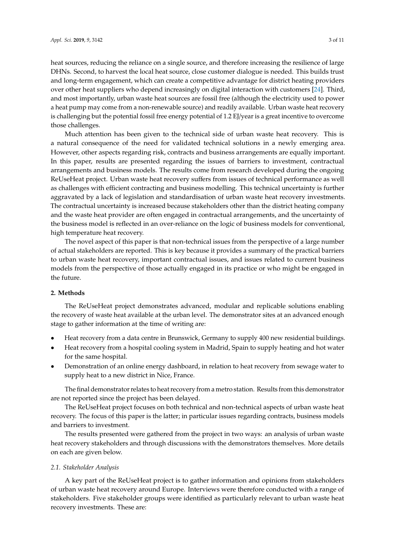heat sources, reducing the reliance on a single source, and therefore increasing the resilience of large DHNs. Second, to harvest the local heat source, close customer dialogue is needed. This builds trust and long-term engagement, which can create a competitive advantage for district heating providers over other heat suppliers who depend increasingly on digital interaction with customers [\[24\]](#page-10-0). Third, and most importantly, urban waste heat sources are fossil free (although the electricity used to power a heat pump may come from a non-renewable source) and readily available. Urban waste heat recovery is challenging but the potential fossil free energy potential of 1.2 EJ/year is a great incentive to overcome those challenges.

Much attention has been given to the technical side of urban waste heat recovery. This is a natural consequence of the need for validated technical solutions in a newly emerging area. However, other aspects regarding risk, contracts and business arrangements are equally important. In this paper, results are presented regarding the issues of barriers to investment, contractual arrangements and business models. The results come from research developed during the ongoing ReUseHeat project. Urban waste heat recovery suffers from issues of technical performance as well as challenges with efficient contracting and business modelling. This technical uncertainty is further aggravated by a lack of legislation and standardisation of urban waste heat recovery investments. The contractual uncertainty is increased because stakeholders other than the district heating company and the waste heat provider are often engaged in contractual arrangements, and the uncertainty of the business model is reflected in an over-reliance on the logic of business models for conventional, high temperature heat recovery.

The novel aspect of this paper is that non-technical issues from the perspective of a large number of actual stakeholders are reported. This is key because it provides a summary of the practical barriers to urban waste heat recovery, important contractual issues, and issues related to current business models from the perspective of those actually engaged in its practice or who might be engaged in the future.

# **2. Methods**

The ReUseHeat project demonstrates advanced, modular and replicable solutions enabling the recovery of waste heat available at the urban level. The demonstrator sites at an advanced enough stage to gather information at the time of writing are:

- Heat recovery from a data centre in Brunswick, Germany to supply 400 new residential buildings.
- Heat recovery from a hospital cooling system in Madrid, Spain to supply heating and hot water for the same hospital.
- Demonstration of an online energy dashboard, in relation to heat recovery from sewage water to supply heat to a new district in Nice, France.

The final demonstrator relates to heat recovery from a metro station. Results from this demonstrator are not reported since the project has been delayed.

The ReUseHeat project focuses on both technical and non-technical aspects of urban waste heat recovery. The focus of this paper is the latter; in particular issues regarding contracts, business models and barriers to investment.

The results presented were gathered from the project in two ways: an analysis of urban waste heat recovery stakeholders and through discussions with the demonstrators themselves. More details on each are given below.

## *2.1. Stakeholder Analysis*

A key part of the ReUseHeat project is to gather information and opinions from stakeholders of urban waste heat recovery around Europe. Interviews were therefore conducted with a range of stakeholders. Five stakeholder groups were identified as particularly relevant to urban waste heat recovery investments. These are: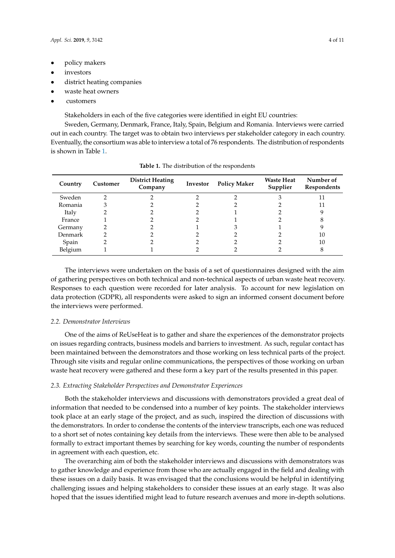- policy makers
- *investors*
- district heating companies
- waste heat owners
- customers

Stakeholders in each of the five categories were identified in eight EU countries:

Sweden, Germany, Denmark, France, Italy, Spain, Belgium and Romania. Interviews were carried out in each country. The target was to obtain two interviews per stakeholder category in each country. Eventually, the consortium was able to interview a total of 76 respondents. The distribution of respondents is shown in Table [1.](#page-3-0)

<span id="page-3-0"></span>

| Country | Customer | <b>District Heating</b><br>Company | Investor | <b>Policy Maker</b> | <b>Waste Heat</b><br>Supplier | Number of<br>Respondents |
|---------|----------|------------------------------------|----------|---------------------|-------------------------------|--------------------------|
| Sweden  |          |                                    |          |                     |                               | 11                       |
| Romania |          |                                    |          |                     |                               | 11                       |
| Italy   |          |                                    |          |                     |                               |                          |
| France  |          |                                    |          |                     |                               |                          |
| Germany |          |                                    |          |                     |                               |                          |
| Denmark |          |                                    |          |                     |                               | 10                       |
| Spain   |          |                                    |          |                     |                               | 10                       |
| Belgium |          |                                    |          |                     |                               |                          |

**Table 1.** The distribution of the respondents

The interviews were undertaken on the basis of a set of questionnaires designed with the aim of gathering perspectives on both technical and non-technical aspects of urban waste heat recovery. Responses to each question were recorded for later analysis. To account for new legislation on data protection (GDPR), all respondents were asked to sign an informed consent document before the interviews were performed.

## *2.2. Demonstrator Interviews*

One of the aims of ReUseHeat is to gather and share the experiences of the demonstrator projects on issues regarding contracts, business models and barriers to investment. As such, regular contact has been maintained between the demonstrators and those working on less technical parts of the project. Through site visits and regular online communications, the perspectives of those working on urban waste heat recovery were gathered and these form a key part of the results presented in this paper.

## *2.3. Extracting Stakeholder Perspectives and Demonstrator Experiences*

Both the stakeholder interviews and discussions with demonstrators provided a great deal of information that needed to be condensed into a number of key points. The stakeholder interviews took place at an early stage of the project, and as such, inspired the direction of discussions with the demonstrators. In order to condense the contents of the interview transcripts, each one was reduced to a short set of notes containing key details from the interviews. These were then able to be analysed formally to extract important themes by searching for key words, counting the number of respondents in agreement with each question, etc.

The overarching aim of both the stakeholder interviews and discussions with demonstrators was to gather knowledge and experience from those who are actually engaged in the field and dealing with these issues on a daily basis. It was envisaged that the conclusions would be helpful in identifying challenging issues and helping stakeholders to consider these issues at an early stage. It was also hoped that the issues identified might lead to future research avenues and more in-depth solutions.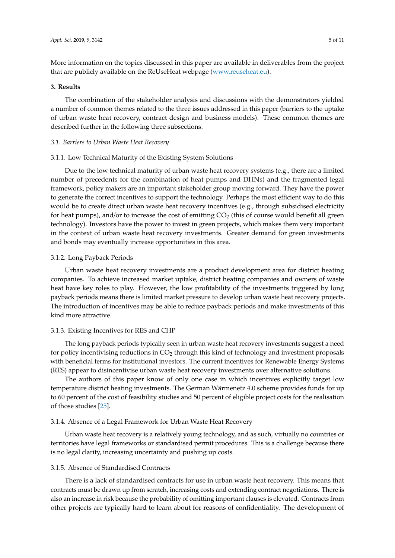More information on the topics discussed in this paper are available in deliverables from the project that are publicly available on the ReUseHeat webpage [\(www.reuseheat.eu\)](www.reuseheat.eu).

# **3. Results**

The combination of the stakeholder analysis and discussions with the demonstrators yielded a number of common themes related to the three issues addressed in this paper (barriers to the uptake of urban waste heat recovery, contract design and business models). These common themes are described further in the following three subsections.

## *3.1. Barriers to Urban Waste Heat Recovery*

## 3.1.1. Low Technical Maturity of the Existing System Solutions

Due to the low technical maturity of urban waste heat recovery systems (e.g., there are a limited number of precedents for the combination of heat pumps and DHNs) and the fragmented legal framework, policy makers are an important stakeholder group moving forward. They have the power to generate the correct incentives to support the technology. Perhaps the most efficient way to do this would be to create direct urban waste heat recovery incentives (e.g., through subsidised electricity for heat pumps), and/or to increase the cost of emitting  $CO<sub>2</sub>$  (this of course would benefit all green technology). Investors have the power to invest in green projects, which makes them very important in the context of urban waste heat recovery investments. Greater demand for green investments and bonds may eventually increase opportunities in this area.

# 3.1.2. Long Payback Periods

Urban waste heat recovery investments are a product development area for district heating companies. To achieve increased market uptake, district heating companies and owners of waste heat have key roles to play. However, the low profitability of the investments triggered by long payback periods means there is limited market pressure to develop urban waste heat recovery projects. The introduction of incentives may be able to reduce payback periods and make investments of this kind more attractive.

## 3.1.3. Existing Incentives for RES and CHP

The long payback periods typically seen in urban waste heat recovery investments suggest a need for policy incentivising reductions in  $CO<sub>2</sub>$  through this kind of technology and investment proposals with beneficial terms for institutional investors. The current incentives for Renewable Energy Systems (RES) appear to disincentivise urban waste heat recovery investments over alternative solutions.

The authors of this paper know of only one case in which incentives explicitly target low temperature district heating investments. The German Wärmenetz 4.0 scheme provides funds for up to 60 percent of the cost of feasibility studies and 50 percent of eligible project costs for the realisation of those studies [\[25\]](#page-10-1).

## 3.1.4. Absence of a Legal Framework for Urban Waste Heat Recovery

Urban waste heat recovery is a relatively young technology, and as such, virtually no countries or territories have legal frameworks or standardised permit procedures. This is a challenge because there is no legal clarity, increasing uncertainty and pushing up costs.

# 3.1.5. Absence of Standardised Contracts

There is a lack of standardised contracts for use in urban waste heat recovery. This means that contracts must be drawn up from scratch, increasing costs and extending contract negotiations. There is also an increase in risk because the probability of omitting important clauses is elevated. Contracts from other projects are typically hard to learn about for reasons of confidentiality. The development of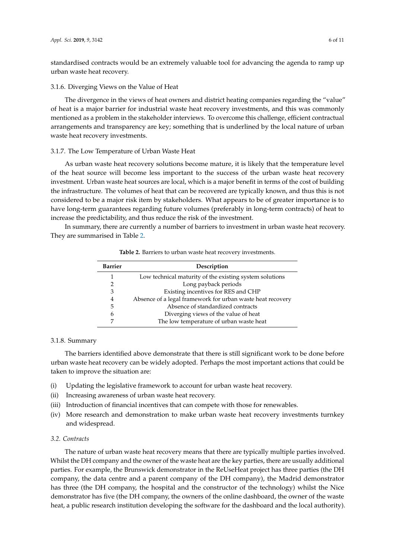standardised contracts would be an extremely valuable tool for advancing the agenda to ramp up urban waste heat recovery.

## 3.1.6. Diverging Views on the Value of Heat

The divergence in the views of heat owners and district heating companies regarding the "value" of heat is a major barrier for industrial waste heat recovery investments, and this was commonly mentioned as a problem in the stakeholder interviews. To overcome this challenge, efficient contractual arrangements and transparency are key; something that is underlined by the local nature of urban waste heat recovery investments.

#### 3.1.7. The Low Temperature of Urban Waste Heat

As urban waste heat recovery solutions become mature, it is likely that the temperature level of the heat source will become less important to the success of the urban waste heat recovery investment. Urban waste heat sources are local, which is a major benefit in terms of the cost of building the infrastructure. The volumes of heat that can be recovered are typically known, and thus this is not considered to be a major risk item by stakeholders. What appears to be of greater importance is to have long-term guarantees regarding future volumes (preferably in long-term contracts) of heat to increase the predictability, and thus reduce the risk of the investment.

<span id="page-5-0"></span>In summary, there are currently a number of barriers to investment in urban waste heat recovery. They are summarised in Table [2.](#page-5-0)

| <b>Barrier</b> | Description                                                |  |  |  |
|----------------|------------------------------------------------------------|--|--|--|
|                | Low technical maturity of the existing system solutions    |  |  |  |
| 2              | Long payback periods                                       |  |  |  |
| 3              | Existing incentives for RES and CHP                        |  |  |  |
| 4              | Absence of a legal framework for urban waste heat recovery |  |  |  |
| 5              | Absence of standardized contracts                          |  |  |  |
| 6              | Diverging views of the value of heat                       |  |  |  |
|                | The low temperature of urban waste heat                    |  |  |  |

**Table 2.** Barriers to urban waste heat recovery investments.

# 3.1.8. Summary

The barriers identified above demonstrate that there is still significant work to be done before urban waste heat recovery can be widely adopted. Perhaps the most important actions that could be taken to improve the situation are:

- (i) Updating the legislative framework to account for urban waste heat recovery.
- (ii) Increasing awareness of urban waste heat recovery.
- (iii) Introduction of financial incentives that can compete with those for renewables.
- (iv) More research and demonstration to make urban waste heat recovery investments turnkey and widespread.

## *3.2. Contracts*

The nature of urban waste heat recovery means that there are typically multiple parties involved. Whilst the DH company and the owner of the waste heat are the key parties, there are usually additional parties. For example, the Brunswick demonstrator in the ReUseHeat project has three parties (the DH company, the data centre and a parent company of the DH company), the Madrid demonstrator has three (the DH company, the hospital and the constructor of the technology) whilst the Nice demonstrator has five (the DH company, the owners of the online dashboard, the owner of the waste heat, a public research institution developing the software for the dashboard and the local authority).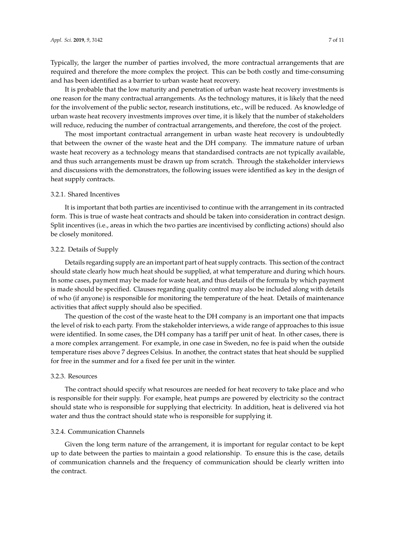Typically, the larger the number of parties involved, the more contractual arrangements that are required and therefore the more complex the project. This can be both costly and time-consuming and has been identified as a barrier to urban waste heat recovery.

It is probable that the low maturity and penetration of urban waste heat recovery investments is one reason for the many contractual arrangements. As the technology matures, it is likely that the need for the involvement of the public sector, research institutions, etc., will be reduced. As knowledge of urban waste heat recovery investments improves over time, it is likely that the number of stakeholders will reduce, reducing the number of contractual arrangements, and therefore, the cost of the project.

The most important contractual arrangement in urban waste heat recovery is undoubtedly that between the owner of the waste heat and the DH company. The immature nature of urban waste heat recovery as a technology means that standardised contracts are not typically available, and thus such arrangements must be drawn up from scratch. Through the stakeholder interviews and discussions with the demonstrators, the following issues were identified as key in the design of heat supply contracts.

## 3.2.1. Shared Incentives

It is important that both parties are incentivised to continue with the arrangement in its contracted form. This is true of waste heat contracts and should be taken into consideration in contract design. Split incentives (i.e., areas in which the two parties are incentivised by conflicting actions) should also be closely monitored.

# 3.2.2. Details of Supply

Details regarding supply are an important part of heat supply contracts. This section of the contract should state clearly how much heat should be supplied, at what temperature and during which hours. In some cases, payment may be made for waste heat, and thus details of the formula by which payment is made should be specified. Clauses regarding quality control may also be included along with details of who (if anyone) is responsible for monitoring the temperature of the heat. Details of maintenance activities that affect supply should also be specified.

The question of the cost of the waste heat to the DH company is an important one that impacts the level of risk to each party. From the stakeholder interviews, a wide range of approaches to this issue were identified. In some cases, the DH company has a tariff per unit of heat. In other cases, there is a more complex arrangement. For example, in one case in Sweden, no fee is paid when the outside temperature rises above 7 degrees Celsius. In another, the contract states that heat should be supplied for free in the summer and for a fixed fee per unit in the winter.

# 3.2.3. Resources

The contract should specify what resources are needed for heat recovery to take place and who is responsible for their supply. For example, heat pumps are powered by electricity so the contract should state who is responsible for supplying that electricity. In addition, heat is delivered via hot water and thus the contract should state who is responsible for supplying it.

# 3.2.4. Communication Channels

Given the long term nature of the arrangement, it is important for regular contact to be kept up to date between the parties to maintain a good relationship. To ensure this is the case, details of communication channels and the frequency of communication should be clearly written into the contract.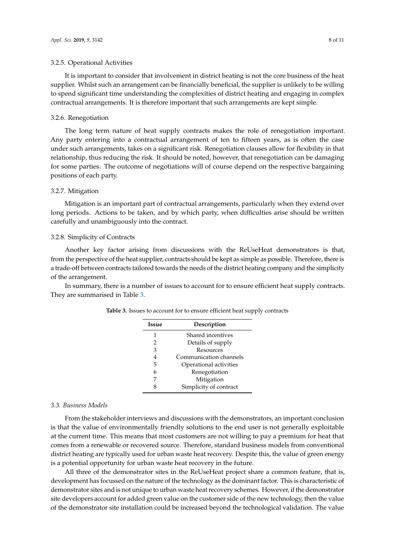## 3.2.5. Operational Activities

It is important to consider that involvement in district heating is not the core business of the heat supplier. Whilst such an arrangement can be financially beneficial, the supplier is unlikely to be willing to spend significant time understanding the complexities of district heating and engaging in complex contractual arrangements. It is therefore important that such arrangements are kept simple.

## 3.2.6. Renegotiation

The long term nature of heat supply contracts makes the role of renegotiation important. Any party entering into a contractual arrangement of ten to fifteen years, as is often the case under such arrangements, takes on a significant risk. Renegotiation clauses allow for flexibility in that relationship, thus reducing the risk. It should be noted, however, that renegotiation can be damaging for some parties. The outcome of negotiations will of course depend on the respective bargaining positions of each party.

# 3.2.7. Mitigation

Mitigation is an important part of contractual arrangements, particularly when they extend over long periods. Actions to be taken, and by which party, when difficulties arise should be written carefully and unambiguously into the contract.

#### 3.2.8. Simplicity of Contracts

Another key factor arising from discussions with the ReUseHeat demonstrators is that, from the perspective of the heat supplier, contracts should be kept as simple as possible. Therefore, there is a trade-off between contracts tailored towards the needs of the district heating company and the simplicity of the arrangement.

<span id="page-7-0"></span>In summary, there is a number of issues to account for to ensure efficient heat supply contracts. They are summarised in Table [3.](#page-7-0)

| Issue         | Description            |  |  |
|---------------|------------------------|--|--|
| 1             | Shared incentives      |  |  |
| $\mathcal{P}$ | Details of supply      |  |  |
| 3             | Resources              |  |  |
| 4             | Communication channels |  |  |
| 5             | Operational activities |  |  |
| 6             | Renegotiation          |  |  |
| 7             | Mitigation             |  |  |
| R             | Simplicity of contract |  |  |

**Table 3.** Issues to account for to ensure efficient heat supply contracts

#### *3.3. Business Models*

From the stakeholder interviews and discussions with the demonstrators, an important conclusion is that the value of environmentally friendly solutions to the end user is not generally exploitable at the current time. This means that most customers are not willing to pay a premium for heat that comes from a renewable or recovered source. Therefore, standard business models from conventional district heating are typically used for urban waste heat recovery. Despite this, the value of green energy is a potential opportunity for urban waste heat recovery in the future.

All three of the demonstrator sites in the ReUseHeat project share a common feature, that is, development has focussed on the nature of the technology as the dominant factor. This is characteristic of demonstrator sites and is not unique to urban waste heat recovery schemes. However, if the demonstrator site developers account for added green value on the customer side of the new technology, then the value of the demonstrator site installation could be increased beyond the technological validation. The value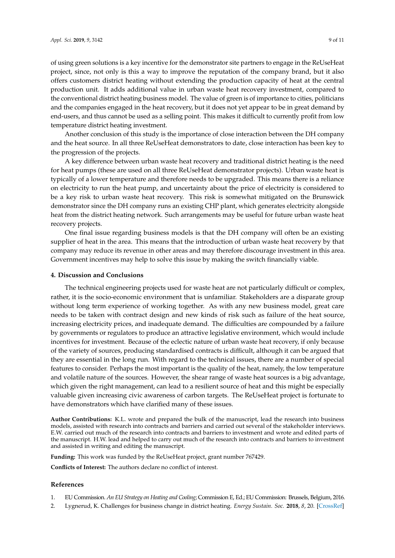of using green solutions is a key incentive for the demonstrator site partners to engage in the ReUseHeat project, since, not only is this a way to improve the reputation of the company brand, but it also offers customers district heating without extending the production capacity of heat at the central production unit. It adds additional value in urban waste heat recovery investment, compared to the conventional district heating business model. The value of green is of importance to cities, politicians and the companies engaged in the heat recovery, but it does not yet appear to be in great demand by end-users, and thus cannot be used as a selling point. This makes it difficult to currently profit from low temperature district heating investment.

Another conclusion of this study is the importance of close interaction between the DH company and the heat source. In all three ReUseHeat demonstrators to date, close interaction has been key to the progression of the projects.

A key difference between urban waste heat recovery and traditional district heating is the need for heat pumps (these are used on all three ReUseHeat demonstrator projects). Urban waste heat is typically of a lower temperature and therefore needs to be upgraded. This means there is a reliance on electricity to run the heat pump, and uncertainty about the price of electricity is considered to be a key risk to urban waste heat recovery. This risk is somewhat mitigated on the Brunswick demonstrator since the DH company runs an existing CHP plant, which generates electricity alongside heat from the district heating network. Such arrangements may be useful for future urban waste heat recovery projects.

One final issue regarding business models is that the DH company will often be an existing supplier of heat in the area. This means that the introduction of urban waste heat recovery by that company may reduce its revenue in other areas and may therefore discourage investment in this area. Government incentives may help to solve this issue by making the switch financially viable.

### **4. Discussion and Conclusions**

The technical engineering projects used for waste heat are not particularly difficult or complex, rather, it is the socio-economic environment that is unfamiliar. Stakeholders are a disparate group without long term experience of working together. As with any new business model, great care needs to be taken with contract design and new kinds of risk such as failure of the heat source, increasing electricity prices, and inadequate demand. The difficulties are compounded by a failure by governments or regulators to produce an attractive legislative environment, which would include incentives for investment. Because of the eclectic nature of urban waste heat recovery, if only because of the variety of sources, producing standardised contracts is difficult, although it can be argued that they are essential in the long run. With regard to the technical issues, there are a number of special features to consider. Perhaps the most important is the quality of the heat, namely, the low temperature and volatile nature of the sources. However, the shear range of waste heat sources is a big advantage, which given the right management, can lead to a resilient source of heat and this might be especially valuable given increasing civic awareness of carbon targets. The ReUseHeat project is fortunate to have demonstrators which have clarified many of these issues.

**Author Contributions:** K.L. wrote and prepared the bulk of the manuscript, lead the research into business models, assisted with research into contracts and barriers and carried out several of the stakeholder interviews. E.W. carried out much of the research into contracts and barriers to investment and wrote and edited parts of the manuscript. H.W. lead and helped to carry out much of the research into contracts and barriers to investment and assisted in writing and editing the manuscript.

**Funding:** This work was funded by the ReUseHeat project, grant number 767429.

**Conflicts of Interest:** The authors declare no conflict of interest.

#### **References**

- <span id="page-8-0"></span>1. EU Commission. *An EU Strategy on Heating and Cooling*; Commission E, Ed.; EU Commission: Brussels, Belgium, 2016.
- <span id="page-8-1"></span>2. Lygnerud, K. Challenges for business change in district heating. *Energy Sustain. Soc.* **2018**, *8*, 20. [\[CrossRef\]](http://dx.doi.org/10.1186/s13705-018-0161-4)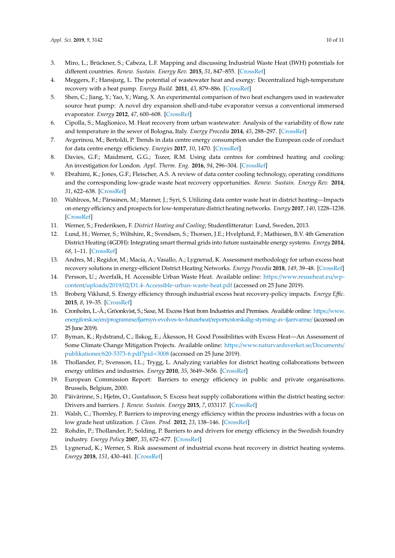- <span id="page-9-0"></span>3. Miro, L.; Brückner, S.; Cabeza, L.F. Mapping and discussing Industrial Waste Heat (IWH) potentials for different countries. *Renew. Sustain. Energy Rev.* **2015**, *51*, 847–855. [\[CrossRef\]](http://dx.doi.org/10.1016/j.rser.2015.06.035)
- <span id="page-9-1"></span>4. Meggers, F.; Hansjurg, L. The potential of wastewater heat and exergy: Decentralized high-temperature recovery with a heat pump. *Energy Build.* **2011**, *43*, 879–886. [\[CrossRef\]](http://dx.doi.org/10.1016/j.enbuild.2010.12.008)
- 5. Shen, C.; Jiang, Y.; Yao, Y.; Wang, X. An experimental comparison of two heat exchangers used in wastewater source heat pump: A novel dry expansion shell-and-tube evaporator versus a conventional immersed evaporator. *Energy* **2012**, *47*, 600–608. [\[CrossRef\]](http://dx.doi.org/10.1016/j.energy.2012.09.043)
- 6. Cipolla, S.; Maglionico, M. Heat recovery from urban wastewater: Analysis of the variability of flow rate and temperature in the sewer of Bologna, Italy. *Energy Procedia* **2014**, *45*, 288–297. [\[CrossRef\]](http://dx.doi.org/10.1016/j.egypro.2014.01.031)
- 7. Avgerinou, M.; Bertoldi, P. Trends in data centre energy consumption under the European code of conduct for data centre energy efficiency. *Energies* **2017**, *10*, 1470. [\[CrossRef\]](http://dx.doi.org/10.3390/en10101470)
- 8. Davies, G.F.; Maidment, G.G.; Tozer, R.M. Using data centres for combined heating and cooling: An investigation for London. *Appl. Therm. Eng.* **2016**, *94*, 296–304. [\[CrossRef\]](http://dx.doi.org/10.1016/j.applthermaleng.2015.09.111)
- 9. Ebrahimi, K.; Jones, G.F.; Fleischer, A.S. A review of data center cooling technology, operating conditions and the corresponding low-grade waste heat recovery opportunities. *Renew. Sustain. Energy Rev.* **2014**, *31*, 622–638. [\[CrossRef\]](http://dx.doi.org/10.1016/j.rser.2013.12.007)
- <span id="page-9-2"></span>10. Wahlroos, M.; Pärssinen, M.; Manner, J.; Syri, S. Utilizing data center waste heat in district heating—Impacts on energy efficiency and prospects for low-temperature district heating networks. *Energy* **2017**, *140*, 1228–1238. [\[CrossRef\]](http://dx.doi.org/10.1016/j.energy.2017.08.078)
- <span id="page-9-3"></span>11. Werner, S.; Frederiksen, F. *District Heating and Cooling*; Studentlitteratur: Lund, Sweden, 2013.
- <span id="page-9-4"></span>12. Lund, H.; Werner, S.; Wiltshire, R.; Svendsen, S.; Thorsen, J.E.; Hvelplund, F.; Mathiesen, B.V. 4th Generation District Heating (4GDH): Integrating smart thermal grids into future sustainable energy systems. *Energy* **2014**, *68*, 1–11. [\[CrossRef\]](http://dx.doi.org/10.1016/j.energy.2014.02.089)
- <span id="page-9-5"></span>13. Andres, M.; Regidor, M.; Macía, A.; Vasallo, A.; Lygnerud, K. Assessment methodology for urban excess heat recovery solutions in energy-efficient District Heating Networks. *Energy Procedia* **2018**, *149*, 39–48. [\[CrossRef\]](http://dx.doi.org/10.1016/j.egypro.2018.08.167)
- <span id="page-9-6"></span>14. Persson, U.; Averfalk, H. Accessible Urban Waste Heat. Available online: https://[www.reuseheat.eu](https://www.reuseheat.eu/wp-content/uploads/2019/02/D1.4-Accessible-urban-waste-heat.pdf)/wpcontent/uploads/2019/02/[D1.4-Accessible-urban-waste-heat.pdf](https://www.reuseheat.eu/wp-content/uploads/2019/02/D1.4-Accessible-urban-waste-heat.pdf) (accessed on 25 June 2019).
- <span id="page-9-7"></span>15. Broberg Viklund, S. Energy efficiency through industrial excess heat recovery-policy impacts. *Energy E*ffi*c.* **2015**, *8*, 19–35. [\[CrossRef\]](http://dx.doi.org/10.1007/s12053-014-9277-3)
- 16. Cronholm, L.-Å.; Gröonkvist, S.; Saxe, M. Excess Heat from Industries and Premises. Available online: https://[www.](https://www.energiforsk.se/en/programme/fjarrsyn-evolves-to-futureheat/reports/storskalig-styrning-av-fjarrvarme/) energiforsk.se/en/programme/fjarrsyn-evolves-to-futureheat/reports/[storskalig-styrning-av-fjarrvarme](https://www.energiforsk.se/en/programme/fjarrsyn-evolves-to-futureheat/reports/storskalig-styrning-av-fjarrvarme/)/ (accessed on 25 June 2019).
- 17. Byman, K.; Rydstrand, C.; Ilskog, E.; Åkesson, H. Good Possibilities with Excess Heat—An Assessment of Some Climate Change Mitigation Projects. Available online: https://[www.naturvardsverket.se](https://www.naturvardsverket.se/Documents/publikationer/620-5373-6.pdf?pid=3008)/Documents/ publikationer/[620-5373-6.pdf?pid](https://www.naturvardsverket.se/Documents/publikationer/620-5373-6.pdf?pid=3008)=3008 (accessed on 25 June 2019).
- <span id="page-9-8"></span>18. Thollander, P.; Svensson, I.L.; Trygg, L. Analyzing variables for district heating collaborations between energy utilities and industries. *Energy* **2010**, *35*, 3649–3656. [\[CrossRef\]](http://dx.doi.org/10.1016/j.energy.2010.05.009)
- <span id="page-9-9"></span>19. European Commission Report: Barriers to energy efficiency in public and private organisations. Brussels, Belgium, 2000.
- <span id="page-9-10"></span>20. Päivärinne, S.; Hjelm, O.; Gustafsson, S. Excess heat supply collaborations within the district heating sector: Drivers and barriers. *J. Renew. Sustain. Energy* **2015**, *7*, 033117. [\[CrossRef\]](http://dx.doi.org/10.1063/1.4921759)
- 21. Walsh, C.; Thornley, P. Barriers to improving energy efficiency within the process industries with a focus on low grade heat utilization. *J. Clean. Prod.* **2012**, *23*, 138–146. [\[CrossRef\]](http://dx.doi.org/10.1016/j.jclepro.2011.10.038)
- <span id="page-9-11"></span>22. Rohdin, P.; Thollander, P.; Solding, P. Barriers to and drivers for energy efficiency in the Swedish foundry industry. *Energy Policy* **2007**, *35*, 672–677. [\[CrossRef\]](http://dx.doi.org/10.1016/j.enpol.2006.01.010)
- <span id="page-9-12"></span>23. Lygnerud, K.; Werner, S. Risk assessment of industrial excess heat recovery in district heating systems. *Energy* **2018**, *151*, 430–441. [\[CrossRef\]](http://dx.doi.org/10.1016/j.energy.2018.03.047)